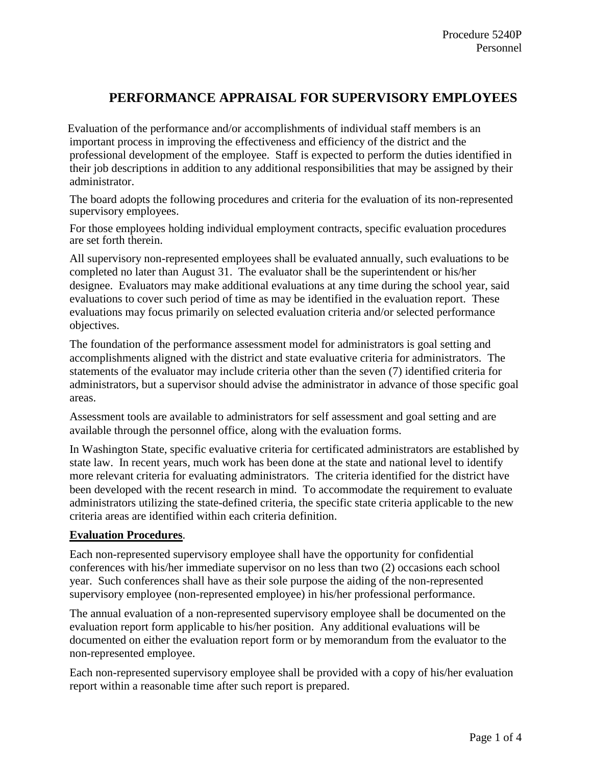# **PERFORMANCE APPRAISAL FOR SUPERVISORY EMPLOYEES**

Evaluation of the performance and/or accomplishments of individual staff members is an important process in improving the effectiveness and efficiency of the district and the professional development of the employee. Staff is expected to perform the duties identified in their job descriptions in addition to any additional responsibilities that may be assigned by their administrator.

The board adopts the following procedures and criteria for the evaluation of its non-represented supervisory employees.

For those employees holding individual employment contracts, specific evaluation procedures are set forth therein.

All supervisory non-represented employees shall be evaluated annually, such evaluations to be completed no later than August 31. The evaluator shall be the superintendent or his/her designee. Evaluators may make additional evaluations at any time during the school year, said evaluations to cover such period of time as may be identified in the evaluation report. These evaluations may focus primarily on selected evaluation criteria and/or selected performance objectives.

The foundation of the performance assessment model for administrators is goal setting and accomplishments aligned with the district and state evaluative criteria for administrators. The statements of the evaluator may include criteria other than the seven (7) identified criteria for administrators, but a supervisor should advise the administrator in advance of those specific goal areas.

Assessment tools are available to administrators for self assessment and goal setting and are available through the personnel office, along with the evaluation forms.

In Washington State, specific evaluative criteria for certificated administrators are established by state law. In recent years, much work has been done at the state and national level to identify more relevant criteria for evaluating administrators. The criteria identified for the district have been developed with the recent research in mind. To accommodate the requirement to evaluate administrators utilizing the state-defined criteria, the specific state criteria applicable to the new criteria areas are identified within each criteria definition.

# **Evaluation Procedures**.

Each non-represented supervisory employee shall have the opportunity for confidential conferences with his/her immediate supervisor on no less than two (2) occasions each school year. Such conferences shall have as their sole purpose the aiding of the non-represented supervisory employee (non-represented employee) in his/her professional performance.

The annual evaluation of a non-represented supervisory employee shall be documented on the evaluation report form applicable to his/her position. Any additional evaluations will be documented on either the evaluation report form or by memorandum from the evaluator to the non-represented employee.

Each non-represented supervisory employee shall be provided with a copy of his/her evaluation report within a reasonable time after such report is prepared.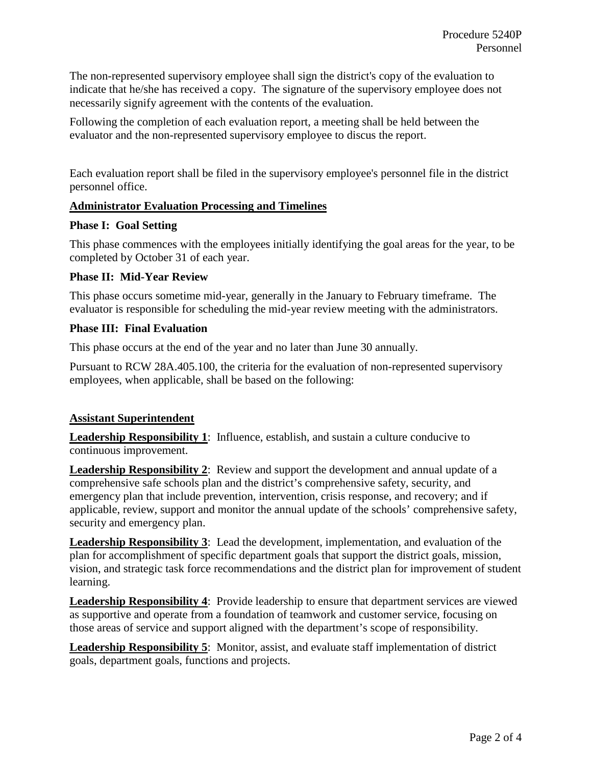The non-represented supervisory employee shall sign the district's copy of the evaluation to indicate that he/she has received a copy. The signature of the supervisory employee does not necessarily signify agreement with the contents of the evaluation.

Following the completion of each evaluation report, a meeting shall be held between the evaluator and the non-represented supervisory employee to discus the report.

Each evaluation report shall be filed in the supervisory employee's personnel file in the district personnel office.

# **Administrator Evaluation Processing and Timelines**

# **Phase I: Goal Setting**

This phase commences with the employees initially identifying the goal areas for the year, to be completed by October 31 of each year.

# **Phase II: Mid-Year Review**

This phase occurs sometime mid-year, generally in the January to February timeframe. The evaluator is responsible for scheduling the mid-year review meeting with the administrators.

# **Phase III: Final Evaluation**

This phase occurs at the end of the year and no later than June 30 annually.

Pursuant to RCW 28A.405.100, the criteria for the evaluation of non-represented supervisory employees, when applicable, shall be based on the following:

# **Assistant Superintendent**

**Leadership Responsibility 1**: Influence, establish, and sustain a culture conducive to continuous improvement.

**Leadership Responsibility 2**: Review and support the development and annual update of a comprehensive safe schools plan and the district's comprehensive safety, security, and emergency plan that include prevention, intervention, crisis response, and recovery; and if applicable, review, support and monitor the annual update of the schools' comprehensive safety, security and emergency plan.

**Leadership Responsibility 3**: Lead the development, implementation, and evaluation of the plan for accomplishment of specific department goals that support the district goals, mission, vision, and strategic task force recommendations and the district plan for improvement of student learning.

**Leadership Responsibility 4**: Provide leadership to ensure that department services are viewed as supportive and operate from a foundation of teamwork and customer service, focusing on those areas of service and support aligned with the department's scope of responsibility.

**Leadership Responsibility 5**: Monitor, assist, and evaluate staff implementation of district goals, department goals, functions and projects.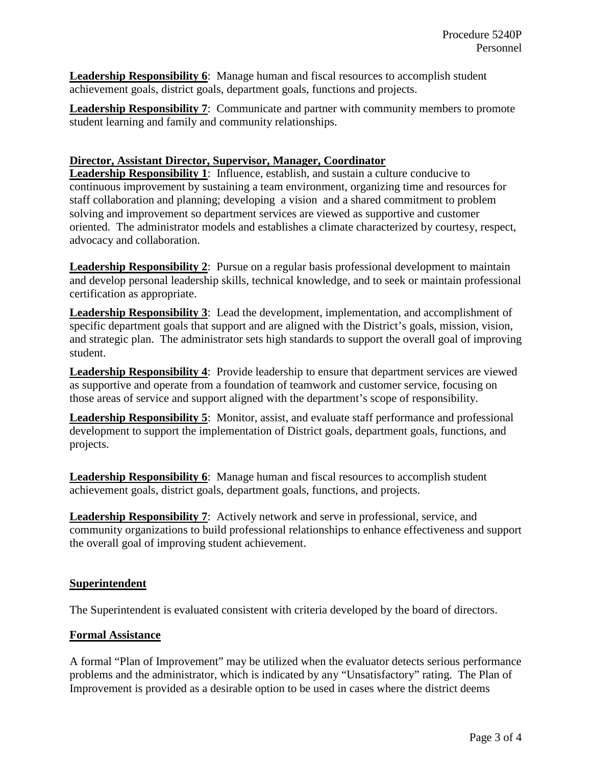**Leadership Responsibility 6**: Manage human and fiscal resources to accomplish student achievement goals, district goals, department goals, functions and projects.

**Leadership Responsibility 7**: Communicate and partner with community members to promote student learning and family and community relationships.

### **Director, Assistant Director, Supervisor, Manager, Coordinator**

**Leadership Responsibility 1**: Influence, establish, and sustain a culture conducive to continuous improvement by sustaining a team environment, organizing time and resources for staff collaboration and planning; developing a vision and a shared commitment to problem solving and improvement so department services are viewed as supportive and customer oriented. The administrator models and establishes a climate characterized by courtesy, respect, advocacy and collaboration.

**Leadership Responsibility 2**: Pursue on a regular basis professional development to maintain and develop personal leadership skills, technical knowledge, and to seek or maintain professional certification as appropriate.

**Leadership Responsibility 3**: Lead the development, implementation, and accomplishment of specific department goals that support and are aligned with the District's goals, mission, vision, and strategic plan. The administrator sets high standards to support the overall goal of improving student.

**Leadership Responsibility 4**: Provide leadership to ensure that department services are viewed as supportive and operate from a foundation of teamwork and customer service, focusing on those areas of service and support aligned with the department's scope of responsibility.

**Leadership Responsibility 5**: Monitor, assist, and evaluate staff performance and professional development to support the implementation of District goals, department goals, functions, and projects.

**Leadership Responsibility 6**: Manage human and fiscal resources to accomplish student achievement goals, district goals, department goals, functions, and projects.

**Leadership Responsibility 7**: Actively network and serve in professional, service, and community organizations to build professional relationships to enhance effectiveness and support the overall goal of improving student achievement.

# **Superintendent**

The Superintendent is evaluated consistent with criteria developed by the board of directors.

#### **Formal Assistance**

A formal "Plan of Improvement" may be utilized when the evaluator detects serious performance problems and the administrator, which is indicated by any "Unsatisfactory" rating. The Plan of Improvement is provided as a desirable option to be used in cases where the district deems